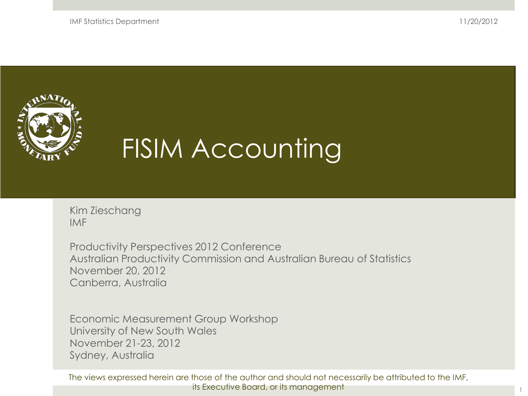IMF Statistics Department

11/20/2012



# FISIM Accounting

Kim Zieschang IMF

Productivity Perspectives 2012 Conference Australian Productivity Commission and Australian Bureau of Statistics November 20, 2012 Canberra, Australia

Economic Measurement Group Workshop University of New South Wales November 21-23, 2012 Sydney, Australia

The views expressed herein are those of the author and should not necessarily be attributed to the IMF, its Executive Board, or its management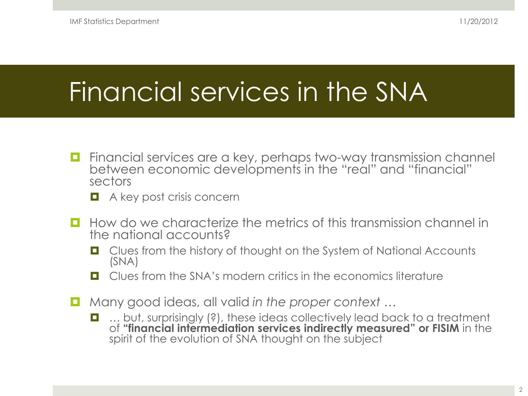# Financial services in the SNA

- **Financial services are a key, perhaps two-way transmission channel** between economic developments in the "real" and "financial" sectors
	- **A** key post crisis concern
- $\Box$  How do we characterize the metrics of this transmission channel in the national accounts?
	- Clues from the history of thought on the System of National Accounts (SNA)
	- $\Box$  Clues from the SNA's modern critics in the economics literature
- Many good ideas, all valid *in the proper context* …
	- ... but, surprisingly (?), these ideas collectively lead back to a treatment of **"financial intermediation services indirectly measured" or FISIM** in the spirit of the evolution of SNA thought on the subject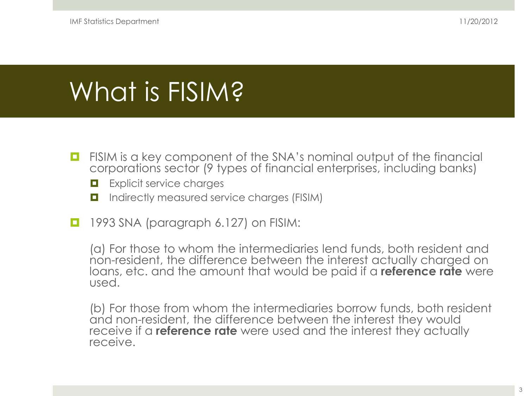### What is FISIM?

- $\Box$  FISIM is a key component of the SNA's nominal output of the financial corporations sector (9 types of financial enterprises, including banks)
	- **EXplicit service charges**
	- Indirectly measured service charges (FISIM)
- 1993 SNA (paragraph 6.127) on FISIM:

(a) For those to whom the intermediaries lend funds, both resident and non-resident, the difference between the interest actually charged on loans, etc. and the amount that would be paid if a **reference rate** were used.

(b) For those from whom the intermediaries borrow funds, both resident and non-resident, the difference between the interest they would receive if a **reference rate** were used and the interest they actually receive.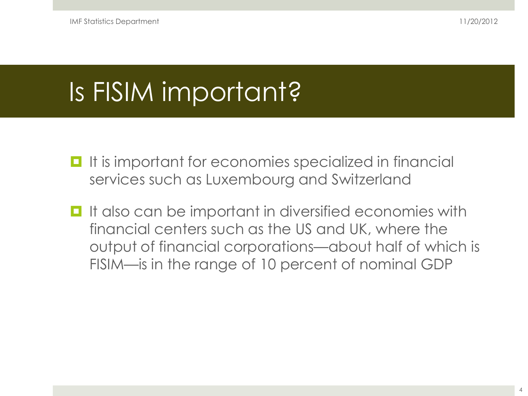# Is FISIM important?

- **If is important for economies specialized in financial** services such as Luxembourg and Switzerland
- **I** It also can be important in diversified economies with financial centers such as the US and UK, where the output of financial corporations—about half of which is FISIM—is in the range of 10 percent of nominal GDP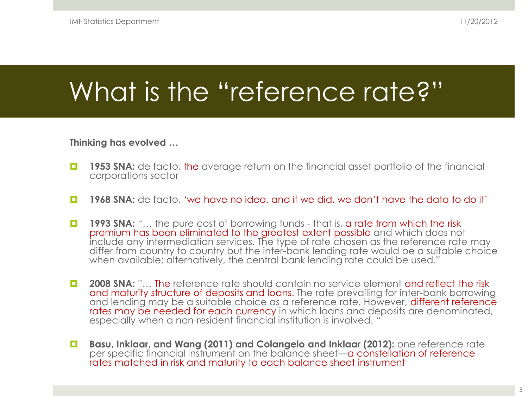# What is the "reference rate?"

#### **Thinking has evolved …**

- **1953 SNA:** de facto, the average return on the financial asset portfolio of the financial corporations sector
- **1968 SNA:** de facto, 'we have no idea, and if we did, we don't have the data to do it'
- **1993 SNA:** "... the pure cost of borrowing funds that is, a rate from which the risk premium has been eliminated to the greatest extent possible and which does not include any intermediation services. The type of rate chosen as the reference rate may differ from country to country but the inter-bank lending rate would be a suitable choice when available; alternatively, the central bank lending rate could be used."
- **2008 SNA:** "... The reference rate should contain no service element and reflect the risk and maturity structure of deposits and loans. The rate prevailing for inter-bank borrowing and lending may be a suitable choice as a reference rate. However, different reference rates may be needed for each currency in which loans and deposits are denominated, especially when a non-resident financial institution is involved. "
- **Basu, Inklaar, and Wang (2011) and Colangelo and Inklaar (2012):** one reference rate per specific financial instrument on the balance sheet—a constellation of reference rates matched in risk and maturity to each balance sheet instrument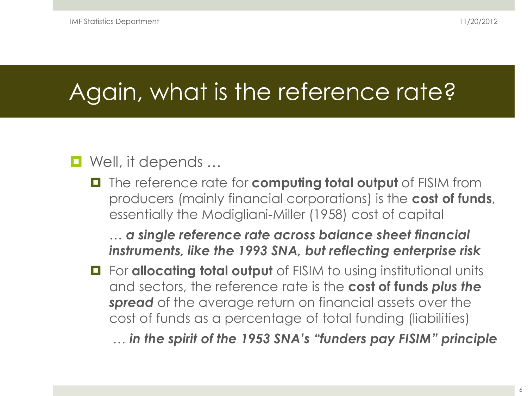### Again, what is the reference rate?

### ■ Well, it depends ...

**T** The reference rate for **computing total output** of FISIM from producers (mainly financial corporations) is the **cost of funds**, essentially the Modigliani-Miller (1958) cost of capital

… *a single reference rate across balance sheet financial instruments, like the 1993 SNA, but reflecting enterprise risk*

 $\blacksquare$  For **allocating total output** of FISIM to using institutional units and sectors, the reference rate is the **cost of funds** *plus the spread* of the average return on financial assets over the cost of funds as a percentage of total funding (liabilities)

… *in the spirit of the 1953 SNA's "funders pay FISIM" principle*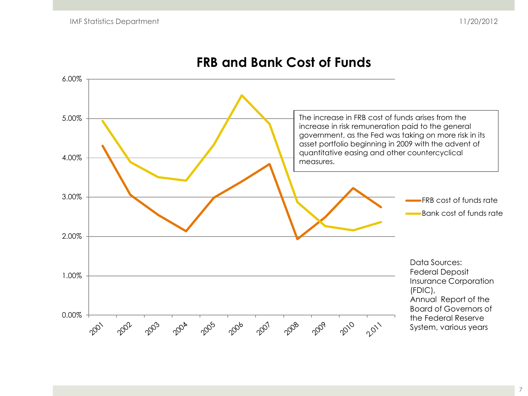

#### **FRB and Bank Cost of Funds**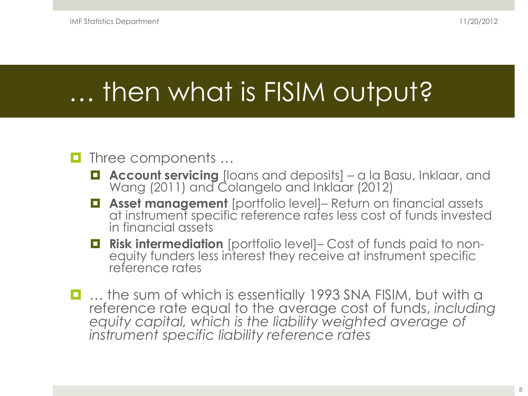### … then what is FISIM output?

#### Three components …

- **Account servicing** [loans and deposits] a la Basu, Inklaar, and Wang (2011) and Colangelo and Inklaar (2012)
- **Asset management** [portfolio level]– Return on financial assets at instrument specific reference rates less cost of funds invested in financial assets
- **Risk intermediation** [portfolio level]– Cost of funds paid to non- equity funders less interest they receive at instrument specific reference rates
- ... the sum of which is essentially 1993 SNA FISIM, but with a reference rate equal to the average cost of funds, *including equity capital, which is the liability weighted average of instrument specific liability reference rates*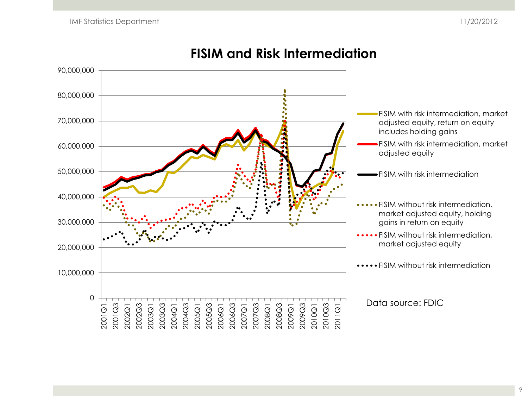

#### **FISIM and Risk Intermediation**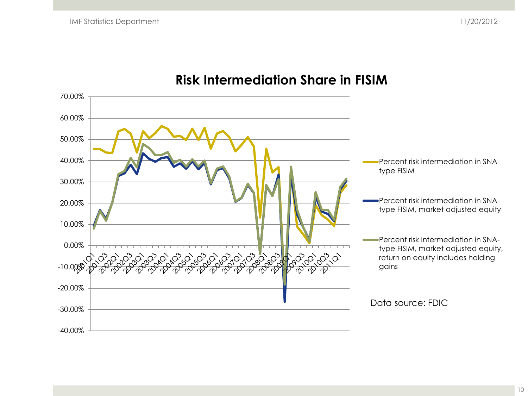

#### **Risk Intermediation Share in FISIM**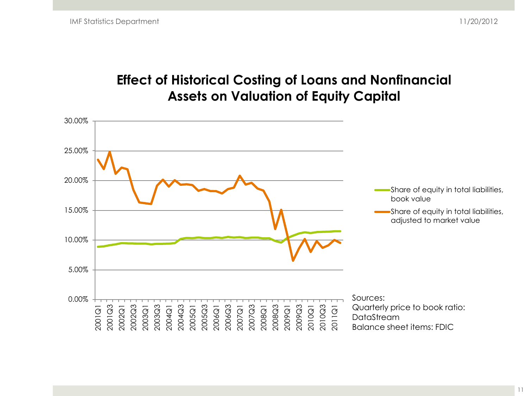#### **Effect of Historical Costing of Loans and Nonfinancial Assets on Valuation of Equity Capital**

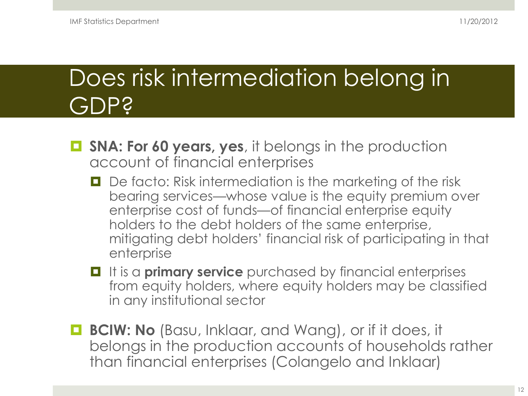### Does risk intermediation belong in GDP?

- **SNA: For 60 years, yes**, it belongs in the production account of financial enterprises
	- D De facto: Risk intermediation is the marketing of the risk bearing services—whose value is the equity premium over enterprise cost of funds—of financial enterprise equity holders to the debt holders of the same enterprise, mitigating debt holders' financial risk of participating in that enterprise
	- **If it is a primary service** purchased by financial enterprises from equity holders, where equity holders may be classified in any institutional sector
- **BCIW: No** (Basu, Inklaar, and Wang), or if it does, it belongs in the production accounts of households rather than financial enterprises (Colangelo and Inklaar)